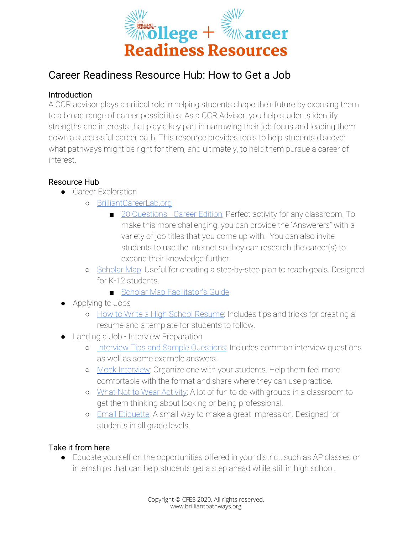

## Career Readiness Resource Hub: How to Get a Job

## Introduction

A CCR advisor plays a critical role in helping students shape their future by exposing them to a broad range of career possibilities. As a CCR Advisor, you help students identify strengths and interests that play a key part in narrowing their job focus and leading them down a successful career path. This resource provides tools to help students discover what pathways might be right for them, and ultimately, to help them pursue a career of interest.

## Resource Hub

- **•** Career Exploration
	- [BrilliantCareerLab.org](https://www.brilliantcareerlab.org/)
		- [20 Questions Career Edition:](https://brilliantpathways.org/wp-content/uploads/2020/11/Twenty-Questions.docx.pdf) Perfect activity for any classroom. To make this more challenging, you can provide the "Answerers" with a variety of job titles that you come up with. You can also invite students to use the internet so they can research the career(s) to expand their knowledge further.
	- o [Scholar Map](https://brilliantpathways.org/wp-content/uploads/2020/11/Scholar-Map-fillable.pdf): Useful for creating a step-by-step plan to reach goals. Designed for K-12 students.
		- [Scholar Map Facilitator's Guide](https://brilliantpathways.org/wp-content/uploads/2020/11/Scholar-Map-Introduction-Key.pdf)
- Applying to Jobs
	- o [How to Write a High School Resume:](https://brilliantpathways.org/wp-content/uploads/2020/12/How-to-Write-a-High-School-Resume.docx.pdf) Includes tips and tricks for creating a resume and a template for students to follow.
- Landing a Job Interview Preparation
	- o [Interview Tips and Sample Questions](https://brilliantpathways.org/wp-content/uploads/2020/12/Acing-an-Interview_-Tips-and-Sample-Questions.docx.pdf): Includes common interview questions as well as some example answers.
	- o [Mock Interview:](https://brilliantpathways.org/wp-content/uploads/2020/11/Mock-Interview.docx.pdf) Organize one with your students. Help them feel more comfortable with the format and share where they can use practice.
	- o [What Not to Wear Activity:](https://brilliantpathways.org/wp-content/uploads/2020/11/What-Not-to-Wear.docx.pdf) A lot of fun to do with groups in a classroom to get them thinking about looking or being professional.
	- o [Email Etiquette:](https://brilliantpathways.org/wp-content/uploads/2020/12/Email-Etiquette.docx.pdf) A small way to make a great impression. Designed for students in all grade levels.

## Take it from here

● Educate yourself on the opportunities offered in your district, such as AP classes or internships that can help students get a step ahead while still in high school.